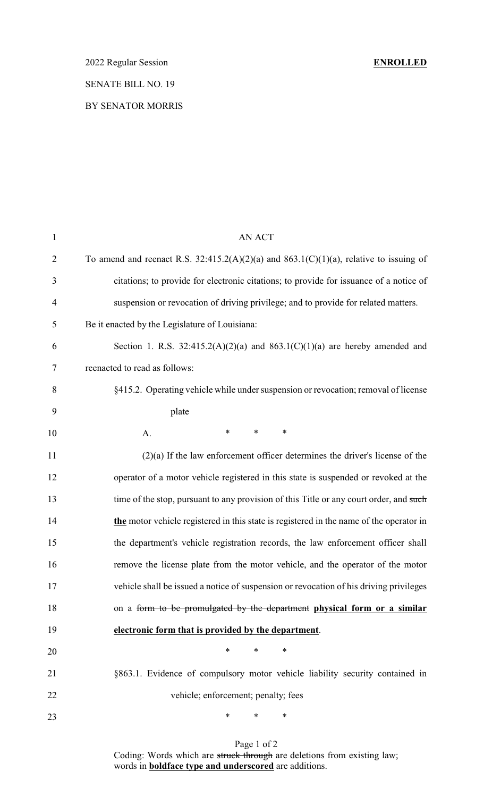## SENATE BILL NO. 19

### BY SENATOR MORRIS

| $\mathbf{1}$   | AN ACT                                                                                  |
|----------------|-----------------------------------------------------------------------------------------|
| $\overline{2}$ | To amend and reenact R.S. 32:415.2(A)(2)(a) and 863.1(C)(1)(a), relative to issuing of  |
| 3              | citations; to provide for electronic citations; to provide for issuance of a notice of  |
| $\overline{4}$ | suspension or revocation of driving privilege; and to provide for related matters.      |
| 5              | Be it enacted by the Legislature of Louisiana:                                          |
| 6              | Section 1. R.S. $32:415.2(A)(2)(a)$ and $863.1(C)(1)(a)$ are hereby amended and         |
| 7              | reenacted to read as follows:                                                           |
| 8              | §415.2. Operating vehicle while under suspension or revocation; removal of license      |
| 9              | plate                                                                                   |
| 10             | $\ast$<br>$\ast$<br>∗<br>A.                                                             |
| 11             | $(2)(a)$ If the law enforcement officer determines the driver's license of the          |
| 12             | operator of a motor vehicle registered in this state is suspended or revoked at the     |
| 13             | time of the stop, pursuant to any provision of this Title or any court order, and such  |
| 14             | the motor vehicle registered in this state is registered in the name of the operator in |
| 15             | the department's vehicle registration records, the law enforcement officer shall        |
| 16             | remove the license plate from the motor vehicle, and the operator of the motor          |
| 17             | vehicle shall be issued a notice of suspension or revocation of his driving privileges  |
| 18             | on a form to be promulgated by the department physical form or a similar                |
| 19             | electronic form that is provided by the department.                                     |
| 20             | $\ast$<br>*<br>∗                                                                        |
| 21             | §863.1. Evidence of compulsory motor vehicle liability security contained in            |
| 22             | vehicle; enforcement; penalty; fees                                                     |
| 23             | *<br>*<br>∗                                                                             |
|                |                                                                                         |

Page 1 of 2 Coding: Words which are struck through are deletions from existing law; words in **boldface type and underscored** are additions.